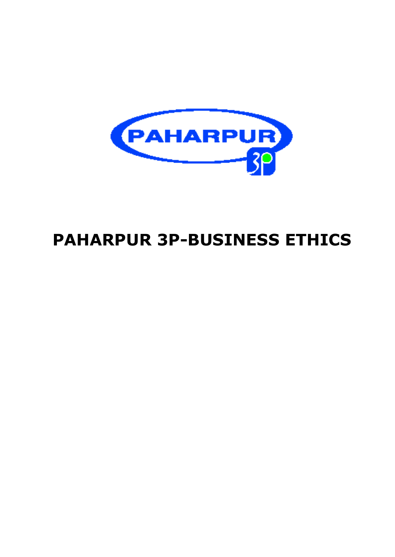

# **PAHARPUR 3P-BUSINESS ETHICS**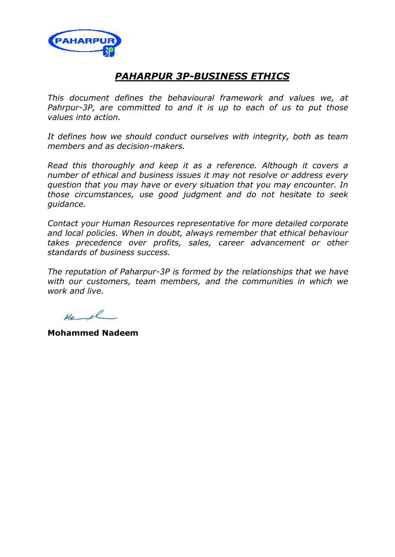

## *PAHARPUR 3P-BUSINESS ETHICS*

*This document defines the behavioural framework and values we, at Pahrpur-3P, are committed to and it is up to each of us to put those values into action.*

*It defines how we should conduct ourselves with integrity, both as team members and as decision-makers.*

*Read this thoroughly and keep it as a reference. Although it covers a number of ethical and business issues it may not resolve or address every question that you may have or every situation that you may encounter. In those circumstances, use good judgment and do not hesitate to seek guidance.* 

*Contact your Human Resources representative for more detailed corporate and local policies. When in doubt, always remember that ethical behaviour takes precedence over profits, sales, career advancement or other standards of business success.*

*The reputation of Paharpur-3P is formed by the relationships that we have with our customers, team members, and the communities in which we work and live.*

 $M_{2}$ 

**Mohammed Nadeem**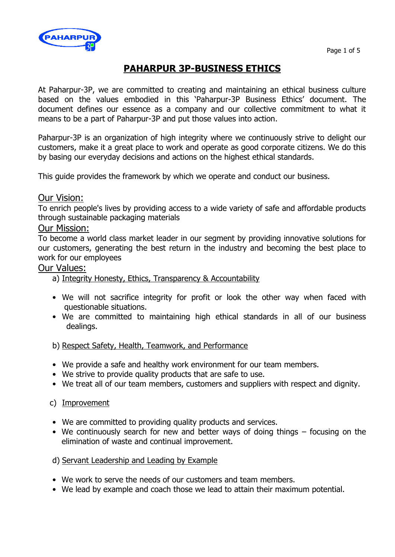

# **PAHARPUR 3P-BUSINESS ETHICS**

At Paharpur-3P, we are committed to creating and maintaining an ethical business culture based on the values embodied in this 'Paharpur-3P Business Ethics' document. The document defines our essence as a company and our collective commitment to what it means to be a part of Paharpur-3P and put those values into action.

Paharpur-3P is an organization of high integrity where we continuously strive to delight our customers, make it a great place to work and operate as good corporate citizens. We do this by basing our everyday decisions and actions on the highest ethical standards.

This guide provides the framework by which we operate and conduct our business.

### Our Vision:

To enrich people's lives by providing access to a wide variety of safe and affordable products through sustainable packaging materials

### Our Mission:

To become a world class market leader in our segment by providing innovative solutions for our customers, generating the best return in the industry and becoming the best place to work for our employees

### Our Values:

### a) Integrity Honesty, Ethics, Transparency & Accountability

- We will not sacrifice integrity for profit or look the other way when faced with questionable situations.
- We are committed to maintaining high ethical standards in all of our business dealings.

### b) Respect Safety, Health, Teamwork, and Performance

- We provide a safe and healthy work environment for our team members.
- We strive to provide quality products that are safe to use.
- We treat all of our team members, customers and suppliers with respect and dignity.

### c) Improvement

- We are committed to providing quality products and services.
- We continuously search for new and better ways of doing things focusing on the elimination of waste and continual improvement.
- d) Servant Leadership and Leading by Example
- We work to serve the needs of our customers and team members.
- We lead by example and coach those we lead to attain their maximum potential.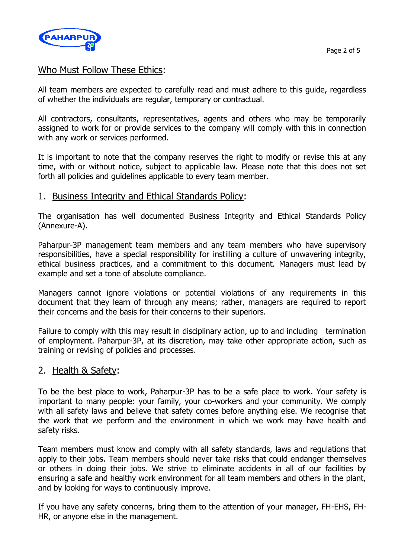

### Who Must Follow These Ethics:

All team members are expected to carefully read and must adhere to this guide, regardless of whether the individuals are regular, temporary or contractual.

All contractors, consultants, representatives, agents and others who may be temporarily assigned to work for or provide services to the company will comply with this in connection with any work or services performed.

It is important to note that the company reserves the right to modify or revise this at any time, with or without notice, subject to applicable law. Please note that this does not set forth all policies and guidelines applicable to every team member.

### 1. Business Integrity and Ethical Standards Policy:

The organisation has well documented Business Integrity and Ethical Standards Policy (Annexure-A).

Paharpur-3P management team members and any team members who have supervisory responsibilities, have a special responsibility for instilling a culture of unwavering integrity, ethical business practices, and a commitment to this document. Managers must lead by example and set a tone of absolute compliance.

Managers cannot ignore violations or potential violations of any requirements in this document that they learn of through any means; rather, managers are required to report their concerns and the basis for their concerns to their superiors.

Failure to comply with this may result in disciplinary action, up to and including termination of employment. Paharpur-3P, at its discretion, may take other appropriate action, such as training or revising of policies and processes.

### 2. Health & Safety:

To be the best place to work, Paharpur-3P has to be a safe place to work. Your safety is important to many people: your family, your co-workers and your community. We comply with all safety laws and believe that safety comes before anything else. We recognise that the work that we perform and the environment in which we work may have health and safety risks.

Team members must know and comply with all safety standards, laws and regulations that apply to their jobs. Team members should never take risks that could endanger themselves or others in doing their jobs. We strive to eliminate accidents in all of our facilities by ensuring a safe and healthy work environment for all team members and others in the plant, and by looking for ways to continuously improve.

If you have any safety concerns, bring them to the attention of your manager, FH-EHS, FH-HR, or anyone else in the management.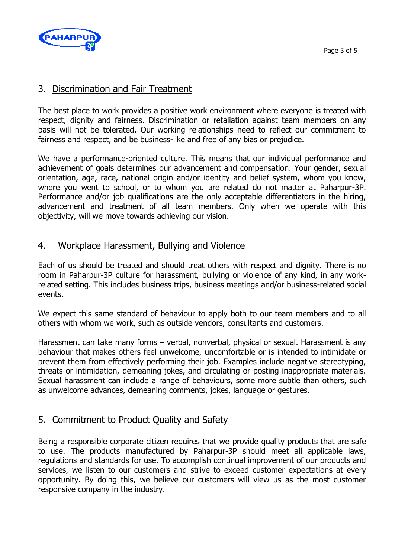

### 3. Discrimination and Fair Treatment

The best place to work provides a positive work environment where everyone is treated with respect, dignity and fairness. Discrimination or retaliation against team members on any basis will not be tolerated. Our working relationships need to reflect our commitment to fairness and respect, and be business-like and free of any bias or prejudice.

We have a performance-oriented culture. This means that our individual performance and achievement of goals determines our advancement and compensation. Your gender, sexual orientation, age, race, national origin and/or identity and belief system, whom you know, where you went to school, or to whom you are related do not matter at Paharpur-3P. Performance and/or job qualifications are the only acceptable differentiators in the hiring, advancement and treatment of all team members. Only when we operate with this objectivity, will we move towards achieving our vision.

### 4. Workplace Harassment, Bullying and Violence

Each of us should be treated and should treat others with respect and dignity. There is no room in Paharpur-3P culture for harassment, bullying or violence of any kind, in any workrelated setting. This includes business trips, business meetings and/or business-related social events.

We expect this same standard of behaviour to apply both to our team members and to all others with whom we work, such as outside vendors, consultants and customers.

Harassment can take many forms - verbal, nonverbal, physical or sexual. Harassment is any behaviour that makes others feel unwelcome, uncomfortable or is intended to intimidate or prevent them from effectively performing their job. Examples include negative stereotyping, threats or intimidation, demeaning jokes, and circulating or posting inappropriate materials. Sexual harassment can include a range of behaviours, some more subtle than others, such as unwelcome advances, demeaning comments, jokes, language or gestures.

### 5. Commitment to Product Quality and Safety

Being a responsible corporate citizen requires that we provide quality products that are safe to use. The products manufactured by Paharpur-3P should meet all applicable laws, regulations and standards for use. To accomplish continual improvement of our products and services, we listen to our customers and strive to exceed customer expectations at every opportunity. By doing this, we believe our customers will view us as the most customer responsive company in the industry.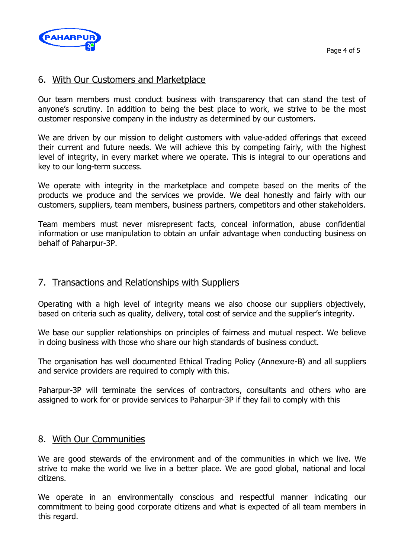

### 6. With Our Customers and Marketplace

Our team members must conduct business with transparency that can stand the test of anyone's scrutiny. In addition to being the best place to work, we strive to be the most customer responsive company in the industry as determined by our customers.

We are driven by our mission to delight customers with value-added offerings that exceed their current and future needs. We will achieve this by competing fairly, with the highest level of integrity, in every market where we operate. This is integral to our operations and key to our long-term success.

We operate with integrity in the marketplace and compete based on the merits of the products we produce and the services we provide. We deal honestly and fairly with our customers, suppliers, team members, business partners, competitors and other stakeholders.

Team members must never misrepresent facts, conceal information, abuse confidential information or use manipulation to obtain an unfair advantage when conducting business on behalf of Paharpur-3P.

### 7. Transactions and Relationships with Suppliers

Operating with a high level of integrity means we also choose our suppliers objectively, based on criteria such as quality, delivery, total cost of service and the supplier's integrity.

We base our supplier relationships on principles of fairness and mutual respect. We believe in doing business with those who share our high standards of business conduct.

The organisation has well documented Ethical Trading Policy (Annexure-B) and all suppliers and service providers are required to comply with this.

Paharpur-3P will terminate the services of contractors, consultants and others who are assigned to work for or provide services to Paharpur-3P if they fail to comply with this

### 8. With Our Communities

We are good stewards of the environment and of the communities in which we live. We strive to make the world we live in a better place. We are good global, national and local citizens.

We operate in an environmentally conscious and respectful manner indicating our commitment to being good corporate citizens and what is expected of all team members in this regard.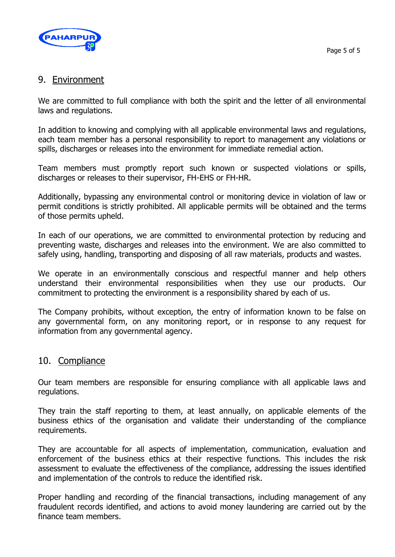

### 9. Environment

We are committed to full compliance with both the spirit and the letter of all environmental laws and regulations.

In addition to knowing and complying with all applicable environmental laws and regulations, each team member has a personal responsibility to report to management any violations or spills, discharges or releases into the environment for immediate remedial action.

Team members must promptly report such known or suspected violations or spills, discharges or releases to their supervisor, FH-EHS or FH-HR.

Additionally, bypassing any environmental control or monitoring device in violation of law or permit conditions is strictly prohibited. All applicable permits will be obtained and the terms of those permits upheld.

In each of our operations, we are committed to environmental protection by reducing and preventing waste, discharges and releases into the environment. We are also committed to safely using, handling, transporting and disposing of all raw materials, products and wastes.

We operate in an environmentally conscious and respectful manner and help others understand their environmental responsibilities when they use our products. Our commitment to protecting the environment is a responsibility shared by each of us.

The Company prohibits, without exception, the entry of information known to be false on any governmental form, on any monitoring report, or in response to any request for information from any governmental agency.

### 10. Compliance

Our team members are responsible for ensuring compliance with all applicable laws and regulations.

They train the staff reporting to them, at least annually, on applicable elements of the business ethics of the organisation and validate their understanding of the compliance requirements.

They are accountable for all aspects of implementation, communication, evaluation and enforcement of the business ethics at their respective functions. This includes the risk assessment to evaluate the effectiveness of the compliance, addressing the issues identified and implementation of the controls to reduce the identified risk.

Proper handling and recording of the financial transactions, including management of any fraudulent records identified, and actions to avoid money laundering are carried out by the finance team members.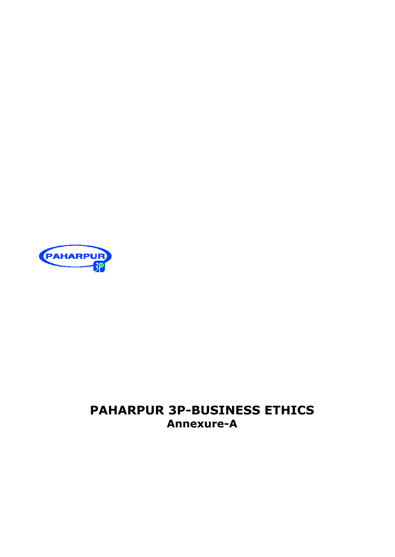

# **PAHARPUR 3P-BUSINESS ETHICS Annexure-A**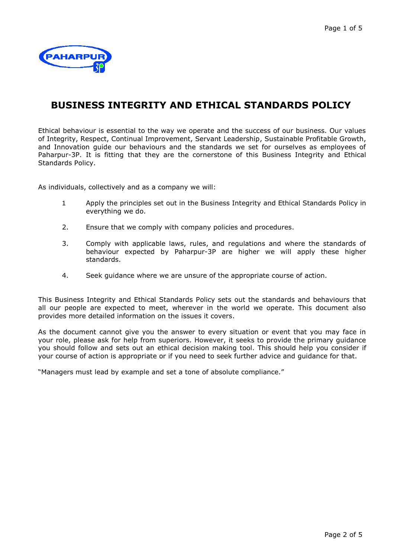

# **BUSINESS INTEGRITY AND ETHICAL STANDARDS POLICY**

Ethical behaviour is essential to the way we operate and the success of our business. Our values of Integrity, Respect, Continual Improvement, Servant Leadership, Sustainable Profitable Growth, and Innovation guide our behaviours and the standards we set for ourselves as employees of Paharpur-3P. It is fitting that they are the cornerstone of this Business Integrity and Ethical Standards Policy.

As individuals, collectively and as a company we will:

- 1 Apply the principles set out in the Business Integrity and Ethical Standards Policy in everything we do.
- 2. Ensure that we comply with company policies and procedures.
- 3. Comply with applicable laws, rules, and regulations and where the standards of behaviour expected by Paharpur-3P are higher we will apply these higher standards.
- 4. Seek guidance where we are unsure of the appropriate course of action.

This Business Integrity and Ethical Standards Policy sets out the standards and behaviours that all our people are expected to meet, wherever in the world we operate. This document also provides more detailed information on the issues it covers.

As the document cannot give you the answer to every situation or event that you may face in your role, please ask for help from superiors. However, it seeks to provide the primary guidance you should follow and sets out an ethical decision making tool. This should help you consider if your course of action is appropriate or if you need to seek further advice and guidance for that.

"Managers must lead by example and set a tone of absolute compliance."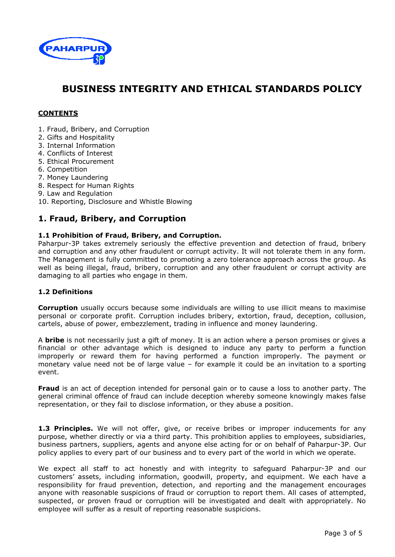

# **BUSINESS INTEGRITY AND ETHICAL STANDARDS POLICY**

### **CONTENTS**

- 1. Fraud, Bribery, and Corruption
- 2. Gifts and Hospitality
- 3. Internal Information
- 4. Conflicts of Interest
- 5. Ethical Procurement
- 6. Competition
- 7. Money Laundering
- 8. Respect for Human Rights
- 9. Law and Regulation

10. Reporting, Disclosure and Whistle Blowing

### **1. Fraud, Bribery, and Corruption**

### **1.1 Prohibition of Fraud, Bribery, and Corruption.**

Paharpur-3P takes extremely seriously the effective prevention and detection of fraud, bribery and corruption and any other fraudulent or corrupt activity. It will not tolerate them in any form. The Management is fully committed to promoting a zero tolerance approach across the group. As well as being illegal, fraud, bribery, corruption and any other fraudulent or corrupt activity are damaging to all parties who engage in them.

### **1.2 Definitions**

**Corruption** usually occurs because some individuals are willing to use illicit means to maximise personal or corporate profit. Corruption includes bribery, extortion, fraud, deception, collusion, cartels, abuse of power, embezzlement, trading in influence and money laundering.

A **bribe** is not necessarily just a gift of money. It is an action where a person promises or gives a financial or other advantage which is designed to induce any party to perform a function improperly or reward them for having performed a function improperly. The payment or monetary value need not be of large value – for example it could be an invitation to a sporting event.

**Fraud** is an act of deception intended for personal gain or to cause a loss to another party. The general criminal offence of fraud can include deception whereby someone knowingly makes false representation, or they fail to disclose information, or they abuse a position.

**1.3 Principles.** We will not offer, give, or receive bribes or improper inducements for any purpose, whether directly or via a third party. This prohibition applies to employees, subsidiaries, business partners, suppliers, agents and anyone else acting for or on behalf of Paharpur-3P. Our policy applies to every part of our business and to every part of the world in which we operate.

We expect all staff to act honestly and with integrity to safeguard Paharpur-3P and our customers' assets, including information, goodwill, property, and equipment. We each have a responsibility for fraud prevention, detection, and reporting and the management encourages anyone with reasonable suspicions of fraud or corruption to report them. All cases of attempted, suspected, or proven fraud or corruption will be investigated and dealt with appropriately. No employee will suffer as a result of reporting reasonable suspicions.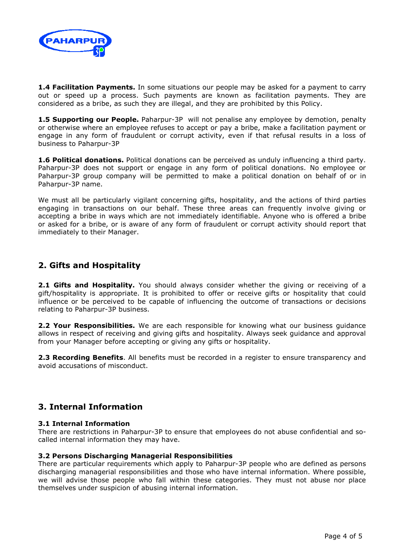

**1.4 Facilitation Payments.** In some situations our people may be asked for a payment to carry out or speed up a process. Such payments are known as facilitation payments. They are considered as a bribe, as such they are illegal, and they are prohibited by this Policy.

**1.5 Supporting our People.** Paharpur-3P will not penalise any employee by demotion, penalty or otherwise where an employee refuses to accept or pay a bribe, make a facilitation payment or engage in any form of fraudulent or corrupt activity, even if that refusal results in a loss of business to Paharpur-3P

**1.6 Political donations.** Political donations can be perceived as unduly influencing a third party. Paharpur-3P does not support or engage in any form of political donations. No employee or Paharpur-3P group company will be permitted to make a political donation on behalf of or in Paharpur-3P name.

We must all be particularly vigilant concerning gifts, hospitality, and the actions of third parties engaging in transactions on our behalf. These three areas can frequently involve giving or accepting a bribe in ways which are not immediately identifiable. Anyone who is offered a bribe or asked for a bribe, or is aware of any form of fraudulent or corrupt activity should report that immediately to their Manager.

### **2. Gifts and Hospitality**

2.1 Gifts and Hospitality. You should always consider whether the giving or receiving of a gift/hospitality is appropriate. It is prohibited to offer or receive gifts or hospitality that could influence or be perceived to be capable of influencing the outcome of transactions or decisions relating to Paharpur-3P business.

2.2 Your Responsibilities. We are each responsible for knowing what our business guidance allows in respect of receiving and giving gifts and hospitality. Always seek guidance and approval from your Manager before accepting or giving any gifts or hospitality.

**2.3 Recording Benefits**. All benefits must be recorded in a register to ensure transparency and avoid accusations of misconduct.

### **3. Internal Information**

### **3.1 Internal Information**

There are restrictions in Paharpur-3P to ensure that employees do not abuse confidential and socalled internal information they may have.

#### **3.2 Persons Discharging Managerial Responsibilities**

There are particular requirements which apply to Paharpur-3P people who are defined as persons discharging managerial responsibilities and those who have internal information. Where possible, we will advise those people who fall within these categories. They must not abuse nor place themselves under suspicion of abusing internal information.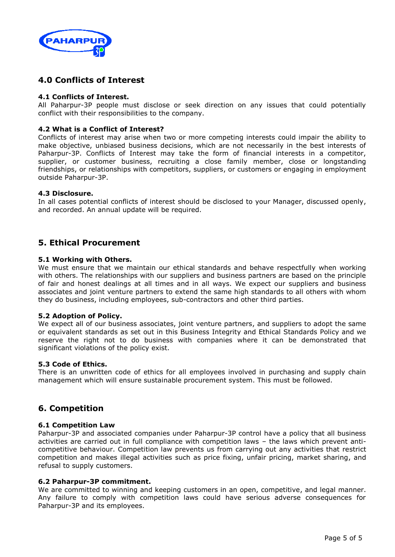

### **4.0 Conflicts of Interest**

### **4.1 Conflicts of Interest.**

All Paharpur-3P people must disclose or seek direction on any issues that could potentially conflict with their responsibilities to the company.

### **4.2 What is a Conflict of Interest?**

Conflicts of interest may arise when two or more competing interests could impair the ability to make objective, unbiased business decisions, which are not necessarily in the best interests of Paharpur-3P. Conflicts of Interest may take the form of financial interests in a competitor, supplier, or customer business, recruiting a close family member, close or longstanding friendships, or relationships with competitors, suppliers, or customers or engaging in employment outside Paharpur-3P.

#### **4.3 Disclosure.**

In all cases potential conflicts of interest should be disclosed to your Manager, discussed openly, and recorded. An annual update will be required.

### **5. Ethical Procurement**

#### **5.1 Working with Others.**

We must ensure that we maintain our ethical standards and behave respectfully when working with others. The relationships with our suppliers and business partners are based on the principle of fair and honest dealings at all times and in all ways. We expect our suppliers and business associates and joint venture partners to extend the same high standards to all others with whom they do business, including employees, sub-contractors and other third parties.

#### **5.2 Adoption of Policy.**

We expect all of our business associates, joint venture partners, and suppliers to adopt the same or equivalent standards as set out in this Business Integrity and Ethical Standards Policy and we reserve the right not to do business with companies where it can be demonstrated that significant violations of the policy exist.

#### **5.3 Code of Ethics.**

There is an unwritten code of ethics for all employees involved in purchasing and supply chain management which will ensure sustainable procurement system. This must be followed.

### **6. Competition**

#### **6.1 Competition Law**

Paharpur-3P and associated companies under Paharpur-3P control have a policy that all business activities are carried out in full compliance with competition laws – the laws which prevent anticompetitive behaviour. Competition law prevents us from carrying out any activities that restrict competition and makes illegal activities such as price fixing, unfair pricing, market sharing, and refusal to supply customers.

#### **6.2 Paharpur-3P commitment.**

We are committed to winning and keeping customers in an open, competitive, and legal manner. Any failure to comply with competition laws could have serious adverse consequences for Paharpur-3P and its employees.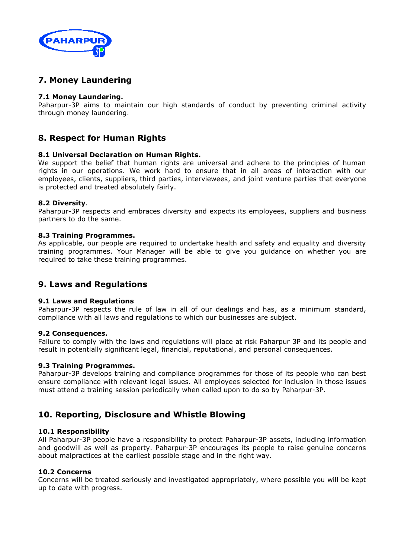

### **7. Money Laundering**

### **7.1 Money Laundering.**

Paharpur-3P aims to maintain our high standards of conduct by preventing criminal activity through money laundering.

### **8. Respect for Human Rights**

#### **8.1 Universal Declaration on Human Rights.**

We support the belief that human rights are universal and adhere to the principles of human rights in our operations. We work hard to ensure that in all areas of interaction with our employees, clients, suppliers, third parties, interviewees, and joint venture parties that everyone is protected and treated absolutely fairly.

#### **8.2 Diversity**.

Paharpur-3P respects and embraces diversity and expects its employees, suppliers and business partners to do the same.

#### **8.3 Training Programmes.**

As applicable, our people are required to undertake health and safety and equality and diversity training programmes. Your Manager will be able to give you guidance on whether you are required to take these training programmes.

### **9. Laws and Regulations**

#### **9.1 Laws and Regulations**

Paharpur-3P respects the rule of law in all of our dealings and has, as a minimum standard, compliance with all laws and regulations to which our businesses are subject.

#### **9.2 Consequences.**

Failure to comply with the laws and regulations will place at risk Paharpur 3P and its people and result in potentially significant legal, financial, reputational, and personal consequences.

#### **9.3 Training Programmes.**

Paharpur-3P develops training and compliance programmes for those of its people who can best ensure compliance with relevant legal issues. All employees selected for inclusion in those issues must attend a training session periodically when called upon to do so by Paharpur-3P.

### **10. Reporting, Disclosure and Whistle Blowing**

### **10.1 Responsibility**

All Paharpur-3P people have a responsibility to protect Paharpur-3P assets, including information and goodwill as well as property. Paharpur-3P encourages its people to raise genuine concerns about malpractices at the earliest possible stage and in the right way.

#### **10.2 Concerns**

Concerns will be treated seriously and investigated appropriately, where possible you will be kept up to date with progress.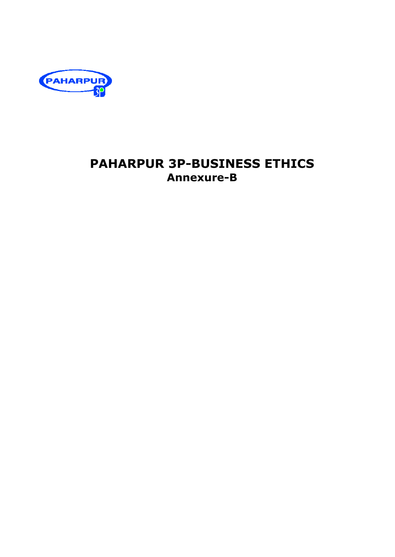

# **PAHARPUR 3P-BUSINESS ETHICS Annexure-B**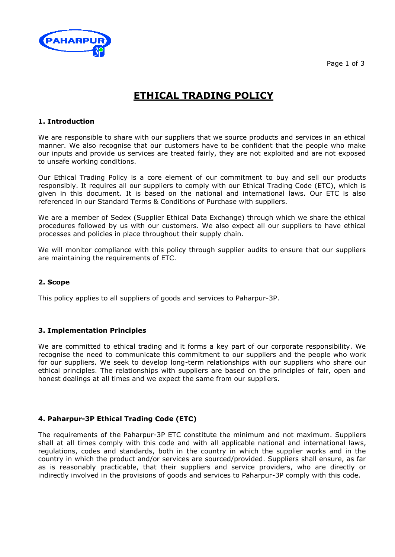

# **ETHICAL TRADING POLICY**

### **1. Introduction**

We are responsible to share with our suppliers that we source products and services in an ethical manner. We also recognise that our customers have to be confident that the people who make our inputs and provide us services are treated fairly, they are not exploited and are not exposed to unsafe working conditions.

Our Ethical Trading Policy is a core element of our commitment to buy and sell our products responsibly. It requires all our suppliers to comply with our Ethical Trading Code (ETC), which is given in this document. It is based on the national and international laws. Our ETC is also referenced in our Standard Terms & Conditions of Purchase with suppliers.

We are a member of Sedex (Supplier Ethical Data Exchange) through which we share the ethical procedures followed by us with our customers. We also expect all our suppliers to have ethical processes and policies in place throughout their supply chain.

We will monitor compliance with this policy through supplier audits to ensure that our suppliers are maintaining the requirements of ETC.

#### **2. Scope**

This policy applies to all suppliers of goods and services to Paharpur-3P.

#### **3. Implementation Principles**

We are committed to ethical trading and it forms a key part of our corporate responsibility. We recognise the need to communicate this commitment to our suppliers and the people who work for our suppliers. We seek to develop long-term relationships with our suppliers who share our ethical principles. The relationships with suppliers are based on the principles of fair, open and honest dealings at all times and we expect the same from our suppliers.

### **4. Paharpur-3P Ethical Trading Code (ETC)**

The requirements of the Paharpur-3P ETC constitute the minimum and not maximum. Suppliers shall at all times comply with this code and with all applicable national and international laws, regulations, codes and standards, both in the country in which the supplier works and in the country in which the product and/or services are sourced/provided. Suppliers shall ensure, as far as is reasonably practicable, that their suppliers and service providers, who are directly or indirectly involved in the provisions of goods and services to Paharpur-3P comply with this code.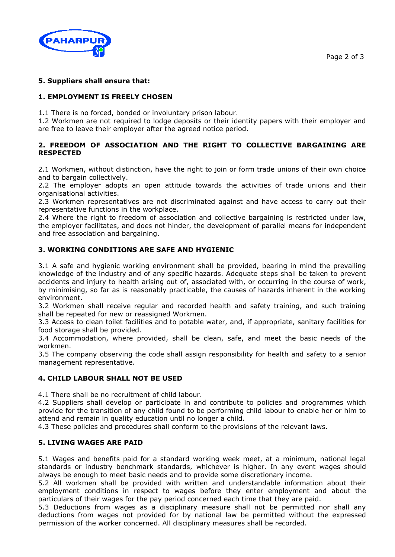

### **5. Suppliers shall ensure that:**

### **1. EMPLOYMENT IS FREELY CHOSEN**

1.1 There is no forced, bonded or involuntary prison labour.

1.2 Workmen are not required to lodge deposits or their identity papers with their employer and are free to leave their employer after the agreed notice period.

### **2. FREEDOM OF ASSOCIATION AND THE RIGHT TO COLLECTIVE BARGAINING ARE RESPECTED**

2.1 Workmen, without distinction, have the right to join or form trade unions of their own choice and to bargain collectively.

2.2 The employer adopts an open attitude towards the activities of trade unions and their organisational activities.

2.3 Workmen representatives are not discriminated against and have access to carry out their representative functions in the workplace.

2.4 Where the right to freedom of association and collective bargaining is restricted under law, the employer facilitates, and does not hinder, the development of parallel means for independent and free association and bargaining.

### **3. WORKING CONDITIONS ARE SAFE AND HYGIENIC**

3.1 A safe and hygienic working environment shall be provided, bearing in mind the prevailing knowledge of the industry and of any specific hazards. Adequate steps shall be taken to prevent accidents and injury to health arising out of, associated with, or occurring in the course of work, by minimising, so far as is reasonably practicable, the causes of hazards inherent in the working environment.

3.2 Workmen shall receive regular and recorded health and safety training, and such training shall be repeated for new or reassigned Workmen.

3.3 Access to clean toilet facilities and to potable water, and, if appropriate, sanitary facilities for food storage shall be provided.

3.4 Accommodation, where provided, shall be clean, safe, and meet the basic needs of the workmen.

3.5 The company observing the code shall assign responsibility for health and safety to a senior management representative.

#### **4. CHILD LABOUR SHALL NOT BE USED**

4.1 There shall be no recruitment of child labour.

4.2 Suppliers shall develop or participate in and contribute to policies and programmes which provide for the transition of any child found to be performing child labour to enable her or him to attend and remain in quality education until no longer a child.

4.3 These policies and procedures shall conform to the provisions of the relevant laws.

#### **5. LIVING WAGES ARE PAID**

5.1 Wages and benefits paid for a standard working week meet, at a minimum, national legal standards or industry benchmark standards, whichever is higher. In any event wages should always be enough to meet basic needs and to provide some discretionary income.

5.2 All workmen shall be provided with written and understandable information about their employment conditions in respect to wages before they enter employment and about the particulars of their wages for the pay period concerned each time that they are paid.

5.3 Deductions from wages as a disciplinary measure shall not be permitted nor shall any deductions from wages not provided for by national law be permitted without the expressed permission of the worker concerned. All disciplinary measures shall be recorded.